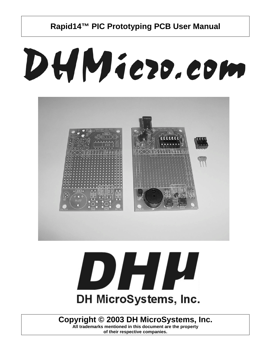# DHMiezo.com





## **Copyright © 2003 DH MicroSystems, Inc.**

**All trademarks mentioned in this document are the property of their respective companies.**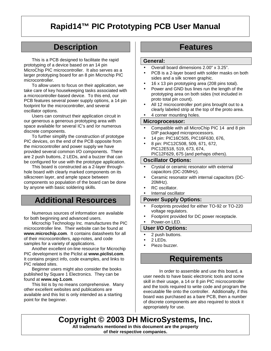# **Description**

This is a PCB designed to facilitate the rapid prototyping of a device based on an 14 pin MicroChip PIC microcontroller. It also serves as a larger prototyping board for an 8 pin Microchip PIC microcontroller.

To allow users to focus on their application, we take care of key housekeeping tasks associated with a microcontroller-based device. To this end, our PCB features several power supply options, a 14 pin footprint for the microcontroller, and several oscillator options.

Users can construct their application circuit in our generous a generous prototyping area with space available for several IC's and /or numerous discrete components.

To further simplify the construction of prototype PIC devices, on the end of the PCB opposite from the microcontroller and power supply we have provided several common I/O components. There are 2 push buttons, 2 LEDs, and a buzzer that can be configured for use with the prototype application.

This board is constructed as a 2-layer throughhole board with clearly marked components on its silkscreen layer, and ample space between components so population of the board can be done by anyone with basic soldering skills.

## **Additional Resources**

Numerous sources of information are available for both beginning and advanced users.

Microchip Technology Inc. manufactures the PIC microcontroller line. Their website can be found at **www.microchip.com**. It contains datasheets for all of their microcontrollers, app-notes, and code samples for a variety of applications.

Another excellent on-line resource for Microchip PIC development is the Piclist at **www.piclist.com**. It contains project info, code examples, and links to PIC related sites.

Beginner users might also consider the books published by Square 1 Electronics. They can be found at **www.sq-1.com**.

This list is by no means comprehensive. Many other excellent websites and publications are available and this list is only intended as a starting point for the beginner.

## **Features**

#### **General:**

- Overall board dimensions 2.00" x 3.25".
- PCB is a 2-layer board with solder masks on both sides and a silk screen graphic.
- 16 x 13 pin prototyping area (208 pins total).
- Power and GND bus lines run the length of the prototyping area on both sides (not included in proto total pin count).
- All 12 microcontroller port pins brought out to a clearly labeled strip at the top of the proto area.
- 4 corner mounting holes.

#### **Microprocessor:**

- Compatible with all MicroChip PIC 14 and 8 pin DIP packaged microprocessors.
- 14 pin: PIC16C505, PIC16F630, 676,
- 8 pin: PIC12C508, 509, 671, 672, PIC12E518, 519, 673, 674, PIC12F629, 675 (and perhaps others).

#### **Oscillator Options:**

- Crystal or ceramic resonator with external capacitors (DC-20MHz).
- Ceramic resonator with internal capacitors (DC-20MHz).
- RC oscillator.
- Internal oscillator

## **Power Supply Options:**

- Footprints provided for either TO-92 or TO-220 voltage regulators.
- Footprint provided for DC power receptacle.
- Power-on LED.

## **User I/O Options:**

- 2 push buttons.
- 2 LEDs.
- Piezo buzzer.

## **Requirements**

In order to assemble and use this board, a user needs to have basic electronic tools and some skill in their usage, a 14 or 8 pin PIC microcontroller and the tools required to write code and program the executable file onto the controller. Additionally, if this board was purchased as a bare PCB, then a number of discrete components are also required to stock it appropriately for use.

**Copyright © 2003 DH MicroSystems, Inc. All trademarks mentioned in this document are the property of their respective companies.**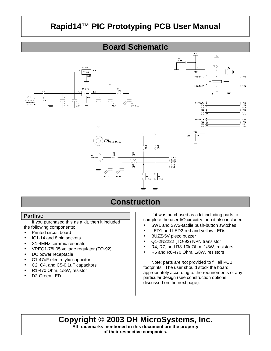

## **Construction**

## **Partlist:**

If you purchased this as a kit, then it included the following components:

- Printed circuit board
- IC1-14 and 8 pin sockets
- X1-4MHz ceramic resonator
- VREG1-78L05 voltage regulator (TO-92)
- DC power receptacle
- C1-47uF electrolytic capacitor
- C2, C4, and C5-0.1uF capacitors
- R1-470 Ohm, 1/8W, resistor
- D2-Green LED

If it was purchased as a kit including parts to complete the user I/O circuitry then it also included:

- SW1 and SW2-tactile push-button switches
- LED1 and LED2-red and yellow LEDs
- BUZZ-5V piezo buzzer
- Q1-2N2222 (TO-92) NPN transistor
- R4, R7, and R8-10k Ohm, 1/8W, resistors
- R5 and R6-470 Ohm, 1/8W, resistors

Note: parts are *not* provided to fill all PCB footprints. The user should stock the board appropriately according to the requirements of any particular design (see construction options discussed on the next page).

## **Copyright © 2003 DH MicroSystems, Inc.**

**All trademarks mentioned in this document are the property of their respective companies.**